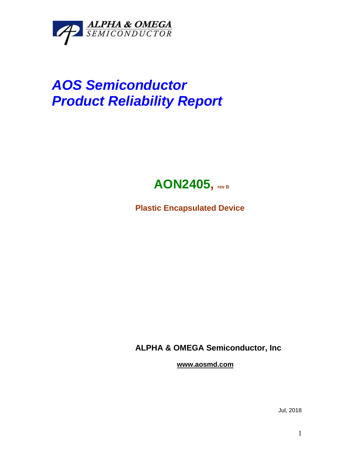

## *AOS Semiconductor Product Reliability Report*



**Plastic Encapsulated Device**

**ALPHA & OMEGA Semiconductor, Inc**

**www.aosmd.com**

Jul, 2018